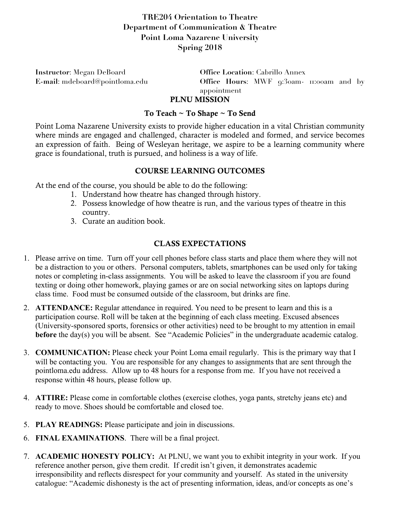## **TRE204 Orientation to Theatre Department of Communication & Theatre Point Loma Nazarene University Spring 2018**

**Instructor**: Megan DeBoard **Office Location**: Cabrillo Annex

**E-mail**: mdeboard@pointloma.edu **Office Hours**: MWF 9:30am- 11:00am and by appointment

# PLNU MISSION

#### To Teach ~ To Shape ~ To Send

Point Loma Nazarene University exists to provide higher education in a vital Christian community where minds are engaged and challenged, character is modeled and formed, and service becomes an expression of faith. Being of Wesleyan heritage, we aspire to be a learning community where grace is foundational, truth is pursued, and holiness is a way of life.

### COURSE LEARNING OUTCOMES

At the end of the course, you should be able to do the following:

- 1. Understand how theatre has changed through history.
- 2. Possess knowledge of how theatre is run, and the various types of theatre in this country.
- 3. Curate an audition book.

### CLASS EXPECTATIONS

- 1. Please arrive on time. Turn off your cell phones before class starts and place them where they will not be a distraction to you or others. Personal computers, tablets, smartphones can be used only for taking notes or completing in-class assignments. You will be asked to leave the classroom if you are found texting or doing other homework, playing games or are on social networking sites on laptops during class time. Food must be consumed outside of the classroom, but drinks are fine.
- 2. **ATTENDANCE:** Regular attendance in required. You need to be present to learn and this is a participation course. Roll will be taken at the beginning of each class meeting. Excused absences (University-sponsored sports, forensics or other activities) need to be brought to my attention in email **before** the day(s) you will be absent. See "Academic Policies" in the undergraduate academic catalog.
- 3. **COMMUNICATION:** Please check your Point Loma email regularly. This is the primary way that I will be contacting you. You are responsible for any changes to assignments that are sent through the pointloma.edu address. Allow up to 48 hours for a response from me. If you have not received a response within 48 hours, please follow up.
- 4. **ATTIRE:** Please come in comfortable clothes (exercise clothes, yoga pants, stretchy jeans etc) and ready to move. Shoes should be comfortable and closed toe.
- 5. **PLAY READINGS:** Please participate and join in discussions.
- 6. **FINAL EXAMINATIONS**. There will be a final project.
- 7. **ACADEMIC HONESTY POLICY:** At PLNU, we want you to exhibit integrity in your work. If you reference another person, give them credit. If credit isn't given, it demonstrates academic irresponsibility and reflects disrespect for your community and yourself. As stated in the university catalogue: "Academic dishonesty is the act of presenting information, ideas, and/or concepts as one's